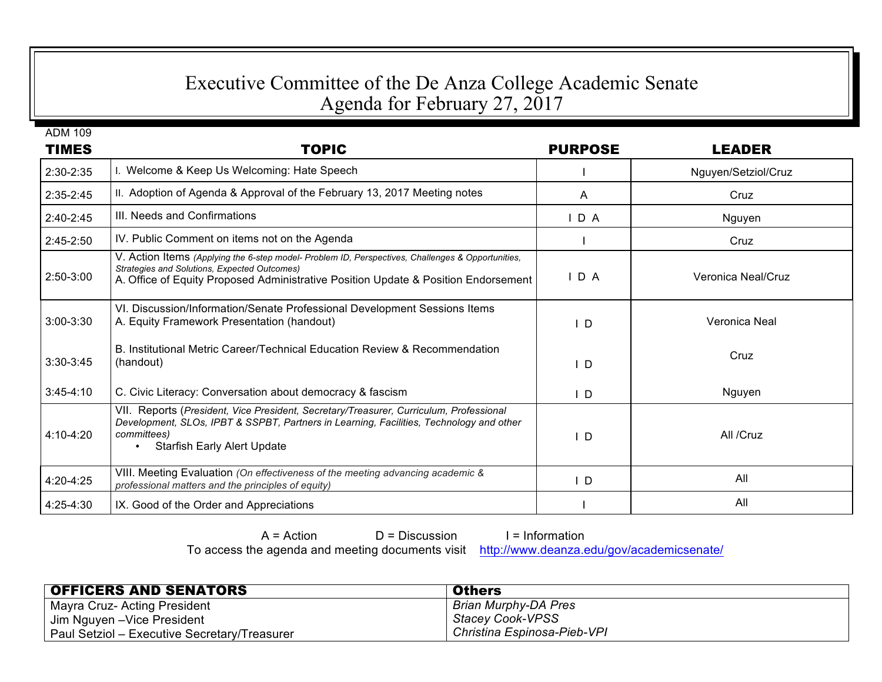## Executive Committee of the De Anza College Academic Senate Agenda for February 27, 2017

| <b>ADM 109</b><br><b>TIMES</b> | <b>TOPIC</b>                                                                                                                                                                                                                            | <b>PURPOSE</b> | <b>LEADER</b>       |
|--------------------------------|-----------------------------------------------------------------------------------------------------------------------------------------------------------------------------------------------------------------------------------------|----------------|---------------------|
| 2:30-2:35                      | I. Welcome & Keep Us Welcoming: Hate Speech                                                                                                                                                                                             |                | Nguyen/Setziol/Cruz |
| 2:35-2:45                      | II. Adoption of Agenda & Approval of the February 13, 2017 Meeting notes                                                                                                                                                                | A              | Cruz                |
| $2:40-2:45$                    | III. Needs and Confirmations                                                                                                                                                                                                            | IDA            | Nguyen              |
| $2:45-2:50$                    | IV. Public Comment on items not on the Agenda                                                                                                                                                                                           |                | Cruz                |
| 2:50-3:00                      | V. Action Items (Applying the 6-step model- Problem ID, Perspectives, Challenges & Opportunities,<br>Strategies and Solutions, Expected Outcomes)<br>A. Office of Equity Proposed Administrative Position Update & Position Endorsement | IDA            | Veronica Neal/Cruz  |
| $3:00 - 3:30$                  | VI. Discussion/Information/Senate Professional Development Sessions Items<br>A. Equity Framework Presentation (handout)                                                                                                                 | $\overline{D}$ | Veronica Neal       |
| 3:30-3:45                      | B. Institutional Metric Career/Technical Education Review & Recommendation<br>(handout)                                                                                                                                                 | D              | Cruz                |
| $3:45-4:10$                    | C. Civic Literacy: Conversation about democracy & fascism                                                                                                                                                                               | I D            | Nguyen              |
| $4:10 - 4:20$                  | VII. Reports (President, Vice President, Secretary/Treasurer, Curriculum, Professional<br>Development, SLOs, IPBT & SSPBT, Partners in Learning, Facilities, Technology and other<br>committees)<br><b>Starfish Early Alert Update</b>  | D              | All /Cruz           |
| 4:20-4:25                      | VIII. Meeting Evaluation (On effectiveness of the meeting advancing academic &<br>professional matters and the principles of equity)                                                                                                    | D              | All                 |
| 4:25-4:30                      | IX. Good of the Order and Appreciations                                                                                                                                                                                                 |                | All                 |

 $A = Action$   $D = Discussion$  I = Information To access the agenda and meeting documents visit http://www.deanza.edu/gov/academicsenate/

| <b>OFFICERS AND SENATORS</b>                 | <b>Others</b>               |
|----------------------------------------------|-----------------------------|
| Mayra Cruz- Acting President                 | <b>Brian Murphy-DA Pres</b> |
| Uim Nguyen –Vice President                   | Stacey Cook-VPSS            |
| Paul Setziol - Executive Secretary/Treasurer | Christina Espinosa-Pieb-VPI |